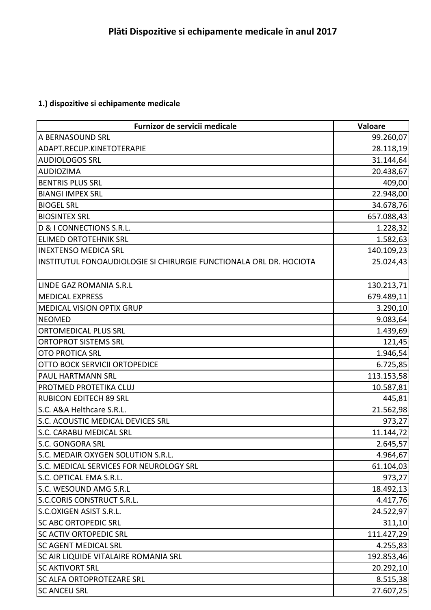## **1.) dispozitive si echipamente medicale**

| Furnizor de servicii medicale                                      | Valoare    |
|--------------------------------------------------------------------|------------|
| A BERNASOUND SRL                                                   | 99.260,07  |
| ADAPT.RECUP.KINETOTERAPIE                                          | 28.118,19  |
| <b>AUDIOLOGOS SRL</b>                                              | 31.144,64  |
| <b>AUDIOZIMA</b>                                                   | 20.438,67  |
| <b>BENTRIS PLUS SRL</b>                                            | 409,00     |
| <b>BIANGI IMPEX SRL</b>                                            | 22.948,00  |
| <b>BIOGEL SRL</b>                                                  | 34.678,76  |
| <b>BIOSINTEX SRL</b>                                               | 657.088,43 |
| D & I CONNECTIONS S.R.L.                                           | 1.228,32   |
| <b>ELIMED ORTOTEHNIK SRL</b>                                       | 1.582,63   |
| <b>INEXTENSO MEDICA SRL</b>                                        | 140.109,23 |
| INSTITUTUL FONOAUDIOLOGIE SI CHIRURGIE FUNCTIONALA ORL DR. HOCIOTA | 25.024,43  |
| LINDE GAZ ROMANIA S.R.L                                            | 130.213,71 |
| <b>MEDICAL EXPRESS</b>                                             | 679.489,11 |
| <b>MEDICAL VISION OPTIX GRUP</b>                                   | 3.290,10   |
| <b>NEOMED</b>                                                      | 9.083,64   |
| <b>ORTOMEDICAL PLUS SRL</b>                                        | 1.439,69   |
| <b>ORTOPROT SISTEMS SRL</b>                                        | 121,45     |
| <b>OTO PROTICA SRL</b>                                             | 1.946,54   |
| OTTO BOCK SERVICII ORTOPEDICE                                      | 6.725,85   |
| <b>PAUL HARTMANN SRL</b>                                           | 113.153,58 |
| PROTMED PROTETIKA CLUJ                                             | 10.587,81  |
| <b>RUBICON EDITECH 89 SRL</b>                                      | 445,81     |
| S.C. A&A Helthcare S.R.L.                                          | 21.562,98  |
| S.C. ACOUSTIC MEDICAL DEVICES SRL                                  | 973,27     |
| S.C. CARABU MEDICAL SRL                                            | 11.144,72  |
| S.C. GONGORA SRL                                                   | 2.645,57   |
| S.C. MEDAIR OXYGEN SOLUTION S.R.L.                                 | 4.964,67   |
| S.C. MEDICAL SERVICES FOR NEUROLOGY SRL                            | 61.104,03  |
| S.C. OPTICAL EMA S.R.L.                                            | 973,27     |
| S.C. WESOUND AMG S.R.L                                             | 18.492,13  |
| <b>S.C.CORIS CONSTRUCT S.R.L.</b>                                  | 4.417,76   |
| S.C.OXIGEN ASIST S.R.L.                                            | 24.522,97  |
| <b>SC ABC ORTOPEDIC SRL</b>                                        | 311,10     |
| <b>SC ACTIV ORTOPEDIC SRL</b>                                      | 111.427,29 |
| <b>SC AGENT MEDICAL SRL</b>                                        | 4.255,83   |
| <b>SC AIR LIQUIDE VITALAIRE ROMANIA SRL</b>                        | 192.853,46 |
| <b>SC AKTIVORT SRL</b>                                             | 20.292,10  |
| <b>SC ALFA ORTOPROTEZARE SRL</b>                                   | 8.515,38   |
| <b>SC ANCEU SRL</b>                                                | 27.607,25  |